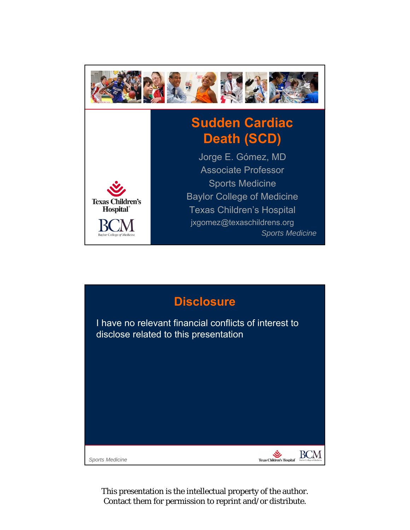

## **Sudden Cardiac Death (SCD)**



*Sports Medicine* Jorge E. Gómez, MD Associate Professor Sports Medicine Baylor College of Medicine Texas Children's Hospital jxgomez@texaschildrens.org

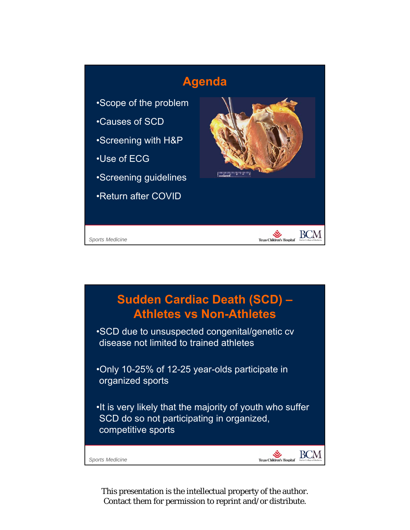

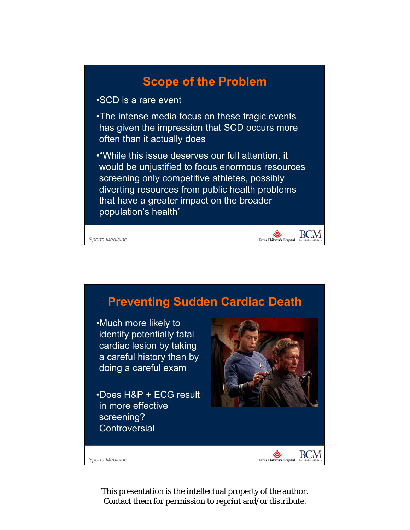

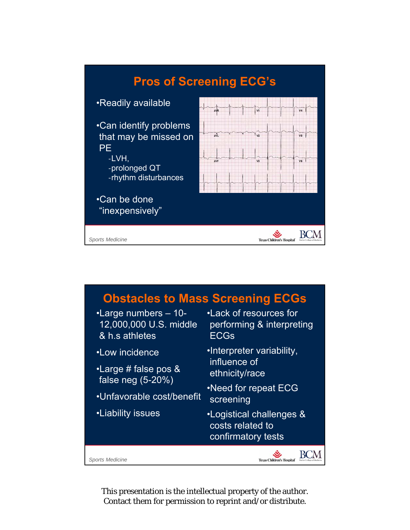

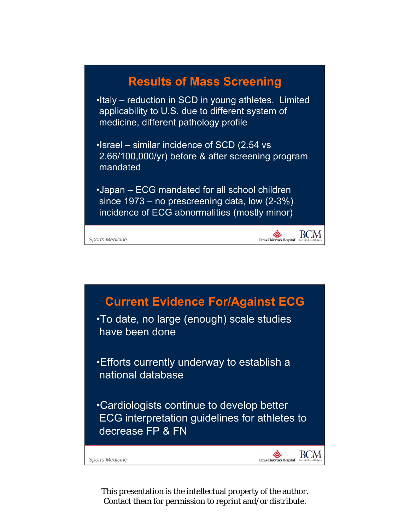

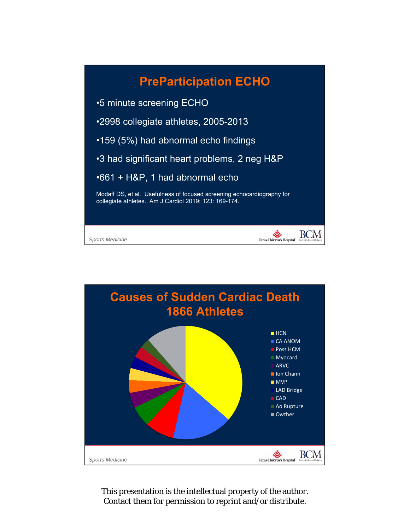

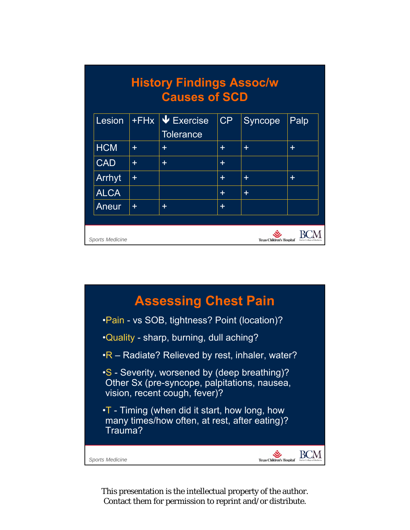|             |       | <b>Causes of SCD</b>                |       |         |       |
|-------------|-------|-------------------------------------|-------|---------|-------|
| Lesion      |       | +FHx V Exercise<br><b>Tolerance</b> | CP    | Syncope | Palp  |
| <b>HCM</b>  | ÷     | $\pm$                               | $\pm$ | $\pm$   | $\pm$ |
| <b>CAD</b>  | ÷     | $\pm$                               | ÷.    |         |       |
| Arrhyt      | $\pm$ |                                     | ÷     | ÷       | ÷     |
| <b>ALCA</b> |       |                                     | ÷     | ÷.      |       |
| Aneur       | $\pm$ | $\pm$                               | ÷     |         |       |
|             |       |                                     |       |         |       |

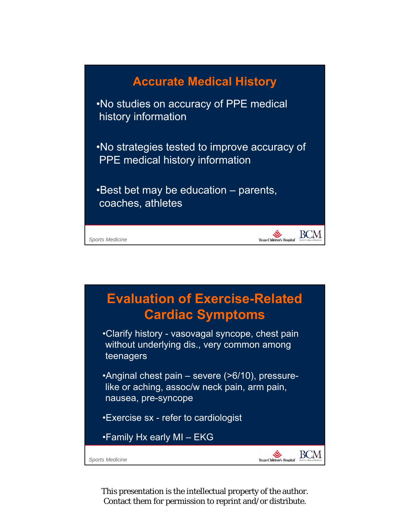

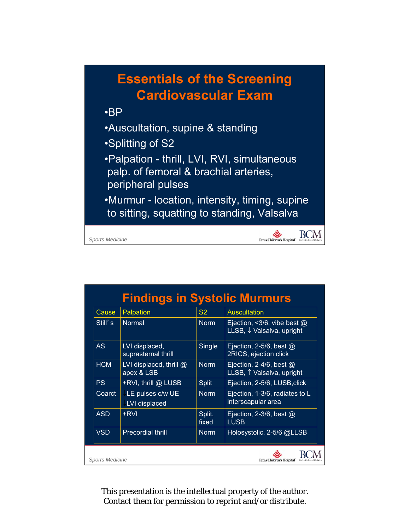## **Essentials of the Screening Cardiovascular Exam**

## •BP

- •Auscultation, supine & standing
- •Splitting of S2
- •Palpation thrill, LVI, RVI, simultaneous palp. of femoral & brachial arteries, peripheral pulses
- •Murmur location, intensity, timing, supine to sitting, squatting to standing, Valsalva

Texas Children's Hospital'  $\sum_{\text{Basic Culer of Medicine}}$ 

 $Sports$ *Medicine* 

| Cause      | Palpation                             | S <sub>2</sub>  | <b>Auscultation</b>                                        |  |
|------------|---------------------------------------|-----------------|------------------------------------------------------------|--|
| Still's    | <b>Normal</b>                         | <b>Norm</b>     | Ejection, <3/6, vibe best $@$<br>LLSB, ↓ Valsalva, upright |  |
| AS         | LVI displaced,<br>suprasternal thrill | Single          | Ejection, 2-5/6, best $\omega$<br>2RICS, ejection click    |  |
| <b>HCM</b> | LVI displaced, thrill @<br>apex & LSB | <b>Norm</b>     | Ejection, 2-4/6, best $@$<br>LLSB, 1 Valsalva, upright     |  |
| PS         | +RVI, thrill @ LUSB                   | <b>Split</b>    | Ejection, 2-5/6, LUSB, click                               |  |
| Coarct     | LE pulses c/w UE<br>LVI displaced     | <b>Norm</b>     | Ejection, 1-3/6, radiates to L<br>interscapular area       |  |
| <b>ASD</b> | +RVI                                  | Split,<br>fixed | Ejection, 2-3/6, best $\omega$<br><b>LUSB</b>              |  |
| <b>VSD</b> | <b>Precordial thrill</b>              | <b>Norm</b>     | Holosystolic, 2-5/6 @LLSB                                  |  |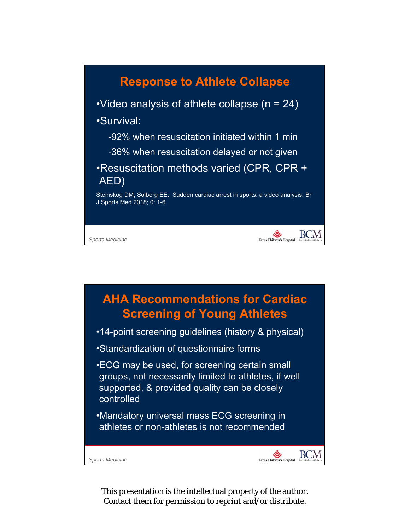

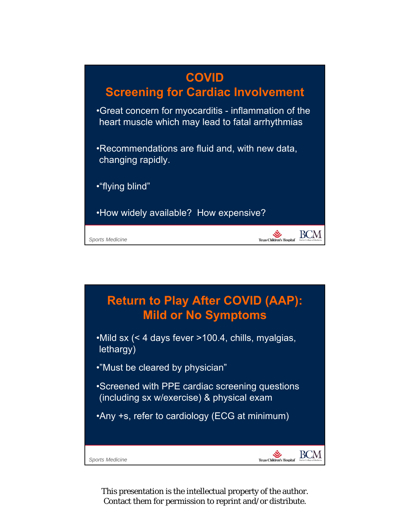

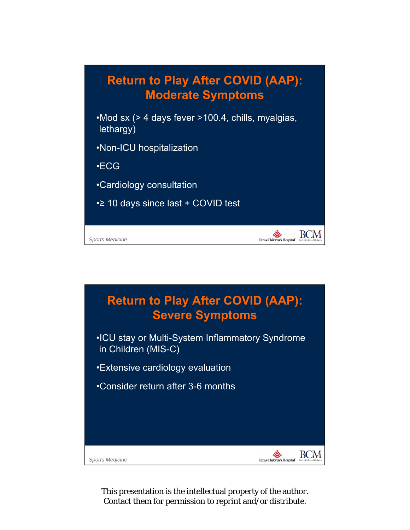